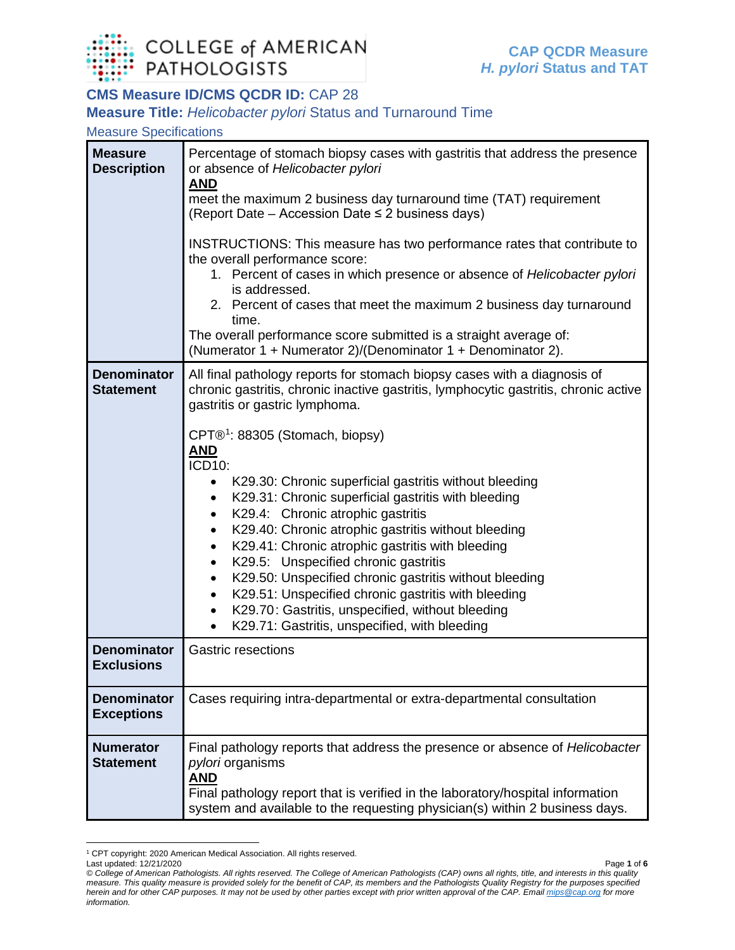

# **CMS Measure ID/CMS QCDR ID:** CAP 28

#### **Measure Title:** *Helicobacter pylori* Status and Turnaround Time

### Measure Specifications

| <b>Measure</b><br><b>Description</b>    | Percentage of stomach biopsy cases with gastritis that address the presence<br>or absence of Helicobacter pylori<br><b>AND</b><br>meet the maximum 2 business day turnaround time (TAT) requirement<br>(Report Date – Accession Date ≤ 2 business days)<br>INSTRUCTIONS: This measure has two performance rates that contribute to<br>the overall performance score:<br>1. Percent of cases in which presence or absence of Helicobacter pylori<br>is addressed.<br>2. Percent of cases that meet the maximum 2 business day turnaround<br>time.<br>The overall performance score submitted is a straight average of:<br>(Numerator 1 + Numerator 2)/(Denominator 1 + Denominator 2).                                                                                                                                                                                                |
|-----------------------------------------|--------------------------------------------------------------------------------------------------------------------------------------------------------------------------------------------------------------------------------------------------------------------------------------------------------------------------------------------------------------------------------------------------------------------------------------------------------------------------------------------------------------------------------------------------------------------------------------------------------------------------------------------------------------------------------------------------------------------------------------------------------------------------------------------------------------------------------------------------------------------------------------|
| <b>Denominator</b><br><b>Statement</b>  | All final pathology reports for stomach biopsy cases with a diagnosis of<br>chronic gastritis, chronic inactive gastritis, lymphocytic gastritis, chronic active<br>gastritis or gastric lymphoma.<br>CPT® <sup>1</sup> : 88305 (Stomach, biopsy)<br><b>AND</b><br>$\overline{ICD10}$ :<br>K29.30: Chronic superficial gastritis without bleeding<br>K29.31: Chronic superficial gastritis with bleeding<br>K29.4: Chronic atrophic gastritis<br>٠<br>K29.40: Chronic atrophic gastritis without bleeding<br>K29.41: Chronic atrophic gastritis with bleeding<br>$\bullet$<br>K29.5: Unspecified chronic gastritis<br>K29.50: Unspecified chronic gastritis without bleeding<br>$\bullet$<br>K29.51: Unspecified chronic gastritis with bleeding<br>$\bullet$<br>K29.70: Gastritis, unspecified, without bleeding<br>٠<br>K29.71: Gastritis, unspecified, with bleeding<br>$\bullet$ |
| <b>Denominator</b><br><b>Exclusions</b> | <b>Gastric resections</b>                                                                                                                                                                                                                                                                                                                                                                                                                                                                                                                                                                                                                                                                                                                                                                                                                                                            |
| <b>Denominator</b><br><b>Exceptions</b> | Cases requiring intra-departmental or extra-departmental consultation                                                                                                                                                                                                                                                                                                                                                                                                                                                                                                                                                                                                                                                                                                                                                                                                                |
| <b>Numerator</b><br><b>Statement</b>    | Final pathology reports that address the presence or absence of <i>Helicobacter</i><br><i>pylori</i> organisms<br><b>AND</b><br>Final pathology report that is verified in the laboratory/hospital information<br>system and available to the requesting physician(s) within 2 business days.                                                                                                                                                                                                                                                                                                                                                                                                                                                                                                                                                                                        |

<sup>1</sup> CPT copyright: 2020 American Medical Association. All rights reserved.

<span id="page-0-0"></span>Last updated: 12/21/2020 Page **1** of **6** *© College of American Pathologists. All rights reserved. The College of American Pathologists (CAP) owns all rights, title, and interests in this quality measure. This quality measure is provided solely for the benefit of CAP, its members and the Pathologists Quality Registry for the purposes specified herein and for other CAP purposes. It may not be used by other parties except with prior written approval of the CAP. Emai[l mips@cap.org](mailto:mips@cap.org) for more information.*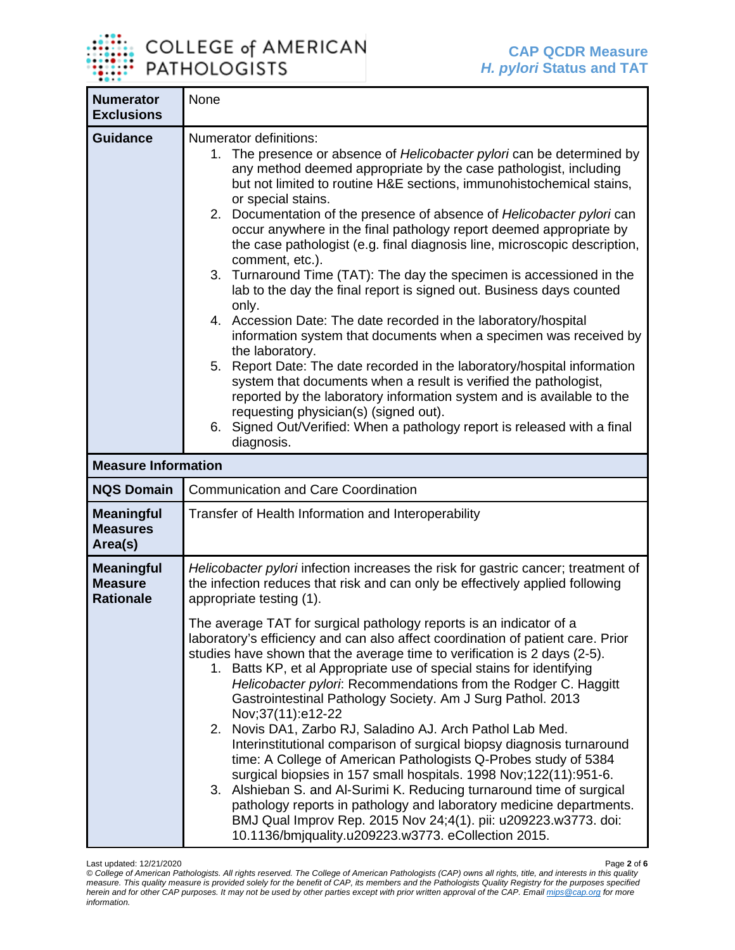

| <b>Numerator</b><br><b>Exclusions</b>                   | None                                                                                                                                                                                                                                                                                                                                                                                                                                                                                                                                                                                                                                                                                                                                                                                                                                                                                                                                                                                                                                                                                                                                                                                               |
|---------------------------------------------------------|----------------------------------------------------------------------------------------------------------------------------------------------------------------------------------------------------------------------------------------------------------------------------------------------------------------------------------------------------------------------------------------------------------------------------------------------------------------------------------------------------------------------------------------------------------------------------------------------------------------------------------------------------------------------------------------------------------------------------------------------------------------------------------------------------------------------------------------------------------------------------------------------------------------------------------------------------------------------------------------------------------------------------------------------------------------------------------------------------------------------------------------------------------------------------------------------------|
| <b>Guidance</b>                                         | Numerator definitions:<br>1. The presence or absence of Helicobacter pylori can be determined by<br>any method deemed appropriate by the case pathologist, including<br>but not limited to routine H&E sections, immunohistochemical stains,<br>or special stains.<br>2. Documentation of the presence of absence of Helicobacter pylori can<br>occur anywhere in the final pathology report deemed appropriate by<br>the case pathologist (e.g. final diagnosis line, microscopic description,<br>comment, etc.).<br>3. Turnaround Time (TAT): The day the specimen is accessioned in the<br>lab to the day the final report is signed out. Business days counted<br>only.<br>4. Accession Date: The date recorded in the laboratory/hospital<br>information system that documents when a specimen was received by<br>the laboratory.<br>5. Report Date: The date recorded in the laboratory/hospital information<br>system that documents when a result is verified the pathologist,<br>reported by the laboratory information system and is available to the<br>requesting physician(s) (signed out).<br>6. Signed Out/Verified: When a pathology report is released with a final<br>diagnosis. |
| <b>Measure Information</b>                              |                                                                                                                                                                                                                                                                                                                                                                                                                                                                                                                                                                                                                                                                                                                                                                                                                                                                                                                                                                                                                                                                                                                                                                                                    |
| <b>NQS Domain</b>                                       | <b>Communication and Care Coordination</b>                                                                                                                                                                                                                                                                                                                                                                                                                                                                                                                                                                                                                                                                                                                                                                                                                                                                                                                                                                                                                                                                                                                                                         |
| <b>Meaningful</b><br><b>Measures</b><br>Area(s)         | Transfer of Health Information and Interoperability                                                                                                                                                                                                                                                                                                                                                                                                                                                                                                                                                                                                                                                                                                                                                                                                                                                                                                                                                                                                                                                                                                                                                |
| <b>Meaningful</b><br><b>Measure</b><br><b>Rationale</b> | Helicobacter pylori infection increases the risk for gastric cancer; treatment of<br>the infection reduces that risk and can only be effectively applied following<br>appropriate testing (1).<br>The average TAT for surgical pathology reports is an indicator of a<br>laboratory's efficiency and can also affect coordination of patient care. Prior<br>studies have shown that the average time to verification is 2 days (2-5).<br>1. Batts KP, et al Appropriate use of special stains for identifying<br>Helicobacter pylori: Recommendations from the Rodger C. Haggitt<br>Gastrointestinal Pathology Society. Am J Surg Pathol. 2013<br>Nov;37(11):e12-22<br>Novis DA1, Zarbo RJ, Saladino AJ. Arch Pathol Lab Med.<br>2.<br>Interinstitutional comparison of surgical biopsy diagnosis turnaround<br>time: A College of American Pathologists Q-Probes study of 5384<br>surgical biopsies in 157 small hospitals. 1998 Nov; 122(11): 951-6.<br>3. Alshieban S. and Al-Surimi K. Reducing turnaround time of surgical<br>pathology reports in pathology and laboratory medicine departments.<br>BMJ Qual Improv Rep. 2015 Nov 24;4(1). pii: u209223.w3773. doi:                          |

Last updated: 12/21/2020 Page **2** of **6** *© College of American Pathologists. All rights reserved. The College of American Pathologists (CAP) owns all rights, title, and interests in this quality measure. This quality measure is provided solely for the benefit of CAP, its members and the Pathologists Quality Registry for the purposes specified herein and for other CAP purposes. It may not be used by other parties except with prior written approval of the CAP. Emai[l mips@cap.org](mailto:mips@cap.org) for more information.*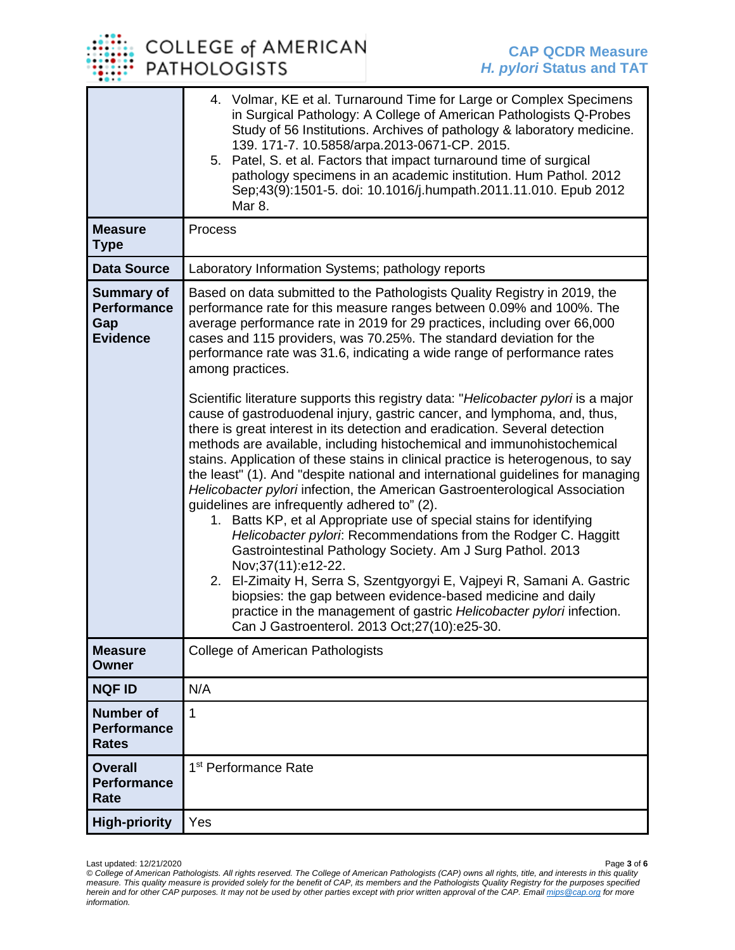

|                                                                   | 4. Volmar, KE et al. Turnaround Time for Large or Complex Specimens<br>in Surgical Pathology: A College of American Pathologists Q-Probes<br>Study of 56 Institutions. Archives of pathology & laboratory medicine.<br>139. 171-7. 10.5858/arpa.2013-0671-CP. 2015.<br>5. Patel, S. et al. Factors that impact turnaround time of surgical<br>pathology specimens in an academic institution. Hum Pathol. 2012<br>Sep;43(9):1501-5. doi: 10.1016/j.humpath.2011.11.010. Epub 2012<br>Mar 8.                                                                                                                                                                                                                                                                                                                                                                                                                                                                                                                                                                                                                                   |
|-------------------------------------------------------------------|-------------------------------------------------------------------------------------------------------------------------------------------------------------------------------------------------------------------------------------------------------------------------------------------------------------------------------------------------------------------------------------------------------------------------------------------------------------------------------------------------------------------------------------------------------------------------------------------------------------------------------------------------------------------------------------------------------------------------------------------------------------------------------------------------------------------------------------------------------------------------------------------------------------------------------------------------------------------------------------------------------------------------------------------------------------------------------------------------------------------------------|
| <b>Measure</b><br><b>Type</b>                                     | Process                                                                                                                                                                                                                                                                                                                                                                                                                                                                                                                                                                                                                                                                                                                                                                                                                                                                                                                                                                                                                                                                                                                       |
| <b>Data Source</b>                                                | Laboratory Information Systems; pathology reports                                                                                                                                                                                                                                                                                                                                                                                                                                                                                                                                                                                                                                                                                                                                                                                                                                                                                                                                                                                                                                                                             |
| <b>Summary of</b><br><b>Performance</b><br>Gap<br><b>Evidence</b> | Based on data submitted to the Pathologists Quality Registry in 2019, the<br>performance rate for this measure ranges between 0.09% and 100%. The<br>average performance rate in 2019 for 29 practices, including over 66,000<br>cases and 115 providers, was 70.25%. The standard deviation for the<br>performance rate was 31.6, indicating a wide range of performance rates<br>among practices.                                                                                                                                                                                                                                                                                                                                                                                                                                                                                                                                                                                                                                                                                                                           |
|                                                                   | Scientific literature supports this registry data: "Helicobacter pylori is a major<br>cause of gastroduodenal injury, gastric cancer, and lymphoma, and, thus,<br>there is great interest in its detection and eradication. Several detection<br>methods are available, including histochemical and immunohistochemical<br>stains. Application of these stains in clinical practice is heterogenous, to say<br>the least" (1). And "despite national and international guidelines for managing<br>Helicobacter pylori infection, the American Gastroenterological Association<br>guidelines are infrequently adhered to" (2).<br>1. Batts KP, et al Appropriate use of special stains for identifying<br>Helicobacter pylori: Recommendations from the Rodger C. Haggitt<br>Gastrointestinal Pathology Society. Am J Surg Pathol. 2013<br>Nov;37(11):e12-22.<br>2. El-Zimaity H, Serra S, Szentgyorgyi E, Vajpeyi R, Samani A. Gastric<br>biopsies: the gap between evidence-based medicine and daily<br>practice in the management of gastric Helicobacter pylori infection.<br>Can J Gastroenterol. 2013 Oct;27(10):e25-30. |
| <b>Measure</b><br><b>Owner</b>                                    | <b>College of American Pathologists</b>                                                                                                                                                                                                                                                                                                                                                                                                                                                                                                                                                                                                                                                                                                                                                                                                                                                                                                                                                                                                                                                                                       |
| <b>NQF ID</b>                                                     | N/A                                                                                                                                                                                                                                                                                                                                                                                                                                                                                                                                                                                                                                                                                                                                                                                                                                                                                                                                                                                                                                                                                                                           |
| <b>Number of</b><br><b>Performance</b><br><b>Rates</b>            | 1                                                                                                                                                                                                                                                                                                                                                                                                                                                                                                                                                                                                                                                                                                                                                                                                                                                                                                                                                                                                                                                                                                                             |
| <b>Overall</b><br><b>Performance</b><br>Rate                      | 1 <sup>st</sup> Performance Rate                                                                                                                                                                                                                                                                                                                                                                                                                                                                                                                                                                                                                                                                                                                                                                                                                                                                                                                                                                                                                                                                                              |
| <b>High-priority</b>                                              | Yes                                                                                                                                                                                                                                                                                                                                                                                                                                                                                                                                                                                                                                                                                                                                                                                                                                                                                                                                                                                                                                                                                                                           |

Last updated: 12/21/2020 Page **3** of **6** *© College of American Pathologists. All rights reserved. The College of American Pathologists (CAP) owns all rights, title, and interests in this quality measure. This quality measure is provided solely for the benefit of CAP, its members and the Pathologists Quality Registry for the purposes specified herein and for other CAP purposes. It may not be used by other parties except with prior written approval of the CAP. Emai[l mips@cap.org](mailto:mips@cap.org) for more information.*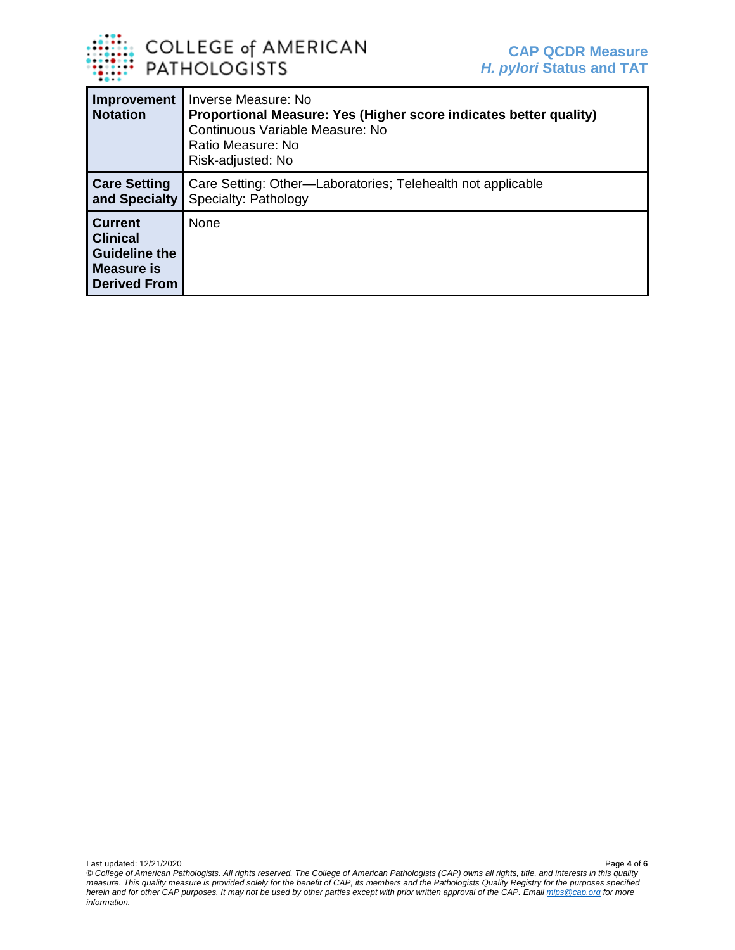

| Improvement<br><b>Notation</b>                                                                 | Inverse Measure: No<br>Proportional Measure: Yes (Higher score indicates better quality)<br>Continuous Variable Measure: No<br>Ratio Measure: No<br>Risk-adjusted: No |
|------------------------------------------------------------------------------------------------|-----------------------------------------------------------------------------------------------------------------------------------------------------------------------|
| <b>Care Setting</b><br>and Specialty                                                           | Care Setting: Other-Laboratories; Telehealth not applicable<br>Specialty: Pathology                                                                                   |
| <b>Current</b><br><b>Clinical</b><br><b>Guideline the</b><br>Measure is<br><b>Derived From</b> | <b>None</b>                                                                                                                                                           |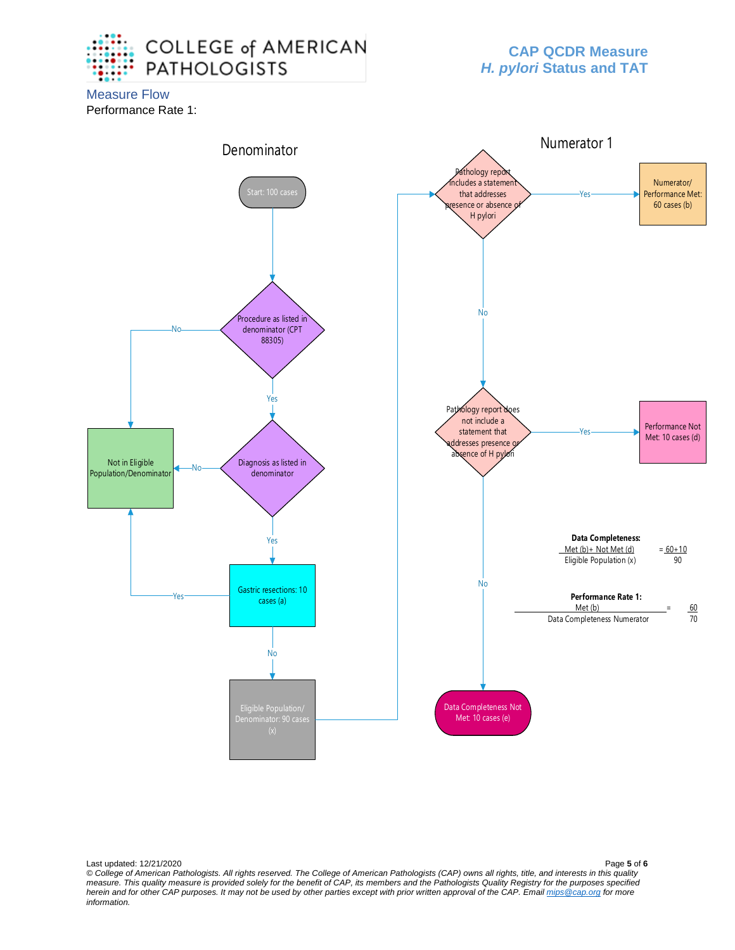

## **CAP QCDR Measure** *H. pylori* **Status and TAT**

Measure Flow Performance Rate 1:



Last updated: 12/21/2020 Page **5** of **6** *© College of American Pathologists. All rights reserved. The College of American Pathologists (CAP) owns all rights, title, and interests in this quality measure. This quality measure is provided solely for the benefit of CAP, its members and the Pathologists Quality Registry for the purposes specified herein and for other CAP purposes. It may not be used by other parties except with prior written approval of the CAP. Emai[l mips@cap.org](mailto:mips@cap.org) for more information.*